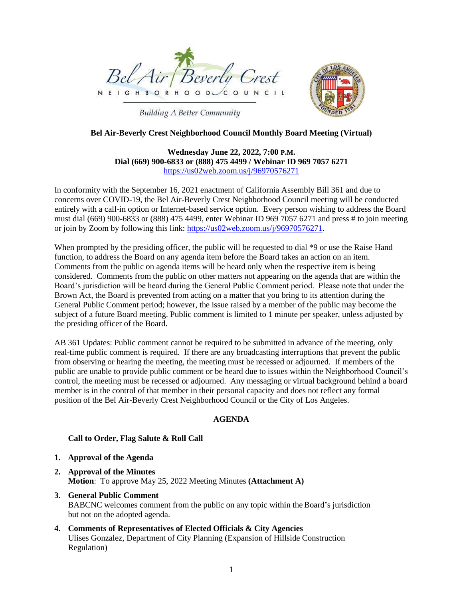



# **Building A Better Community**

# **Bel Air-Beverly Crest Neighborhood Council Monthly Board Meeting (Virtual)**

# **Wednesday June 22, 2022, 7:00 P.M. Dial (669) 900-6833 or (888) 475 4499 / Webinar ID 969 7057 6271** <https://us02web.zoom.us/j/96970576271>

In conformity with the September 16, 2021 enactment of California Assembly Bill 361 and due to concerns over COVID-19, the Bel Air-Beverly Crest Neighborhood Council meeting will be conducted entirely with a call-in option or Internet-based service option. Every person wishing to address the Board must dial (669) 900-6833 or (888) 475 4499, enter Webinar ID 969 7057 6271 and press # to join meeting or join by Zoom by following this link: [https://us02web.zoom.us/j/96970576271.](https://us02web.zoom.us/j/96970576271)

When prompted by the presiding officer, the public will be requested to dial  $*9$  or use the Raise Hand function, to address the Board on any agenda item before the Board takes an action on an item. Comments from the public on agenda items will be heard only when the respective item is being considered. Comments from the public on other matters not appearing on the agenda that are within the Board's jurisdiction will be heard during the General Public Comment period. Please note that under the Brown Act, the Board is prevented from acting on a matter that you bring to its attention during the General Public Comment period; however, the issue raised by a member of the public may become the subject of a future Board meeting. Public comment is limited to 1 minute per speaker, unless adjusted by the presiding officer of the Board.

AB 361 Updates: Public comment cannot be required to be submitted in advance of the meeting, only real-time public comment is required. If there are any broadcasting interruptions that prevent the public from observing or hearing the meeting, the meeting must be recessed or adjourned. If members of the public are unable to provide public comment or be heard due to issues within the Neighborhood Council's control, the meeting must be recessed or adjourned. Any messaging or virtual background behind a board member is in the control of that member in their personal capacity and does not reflect any formal position of the Bel Air-Beverly Crest Neighborhood Council or the City of Los Angeles.

### **AGENDA**

# **Call to Order, Flag Salute & Roll Call**

- **1. Approval of the Agenda**
- **2. Approval of the Minutes Motion**: To approve May 25, 2022 Meeting Minutes **(Attachment A)**
- **3. General Public Comment** BABCNC welcomes comment from the public on any topic within the Board's jurisdiction but not on the adopted agenda.
- **4. Comments of Representatives of Elected Officials & City Agencies** Ulises Gonzalez, Department of City Planning (Expansion of Hillside Construction Regulation)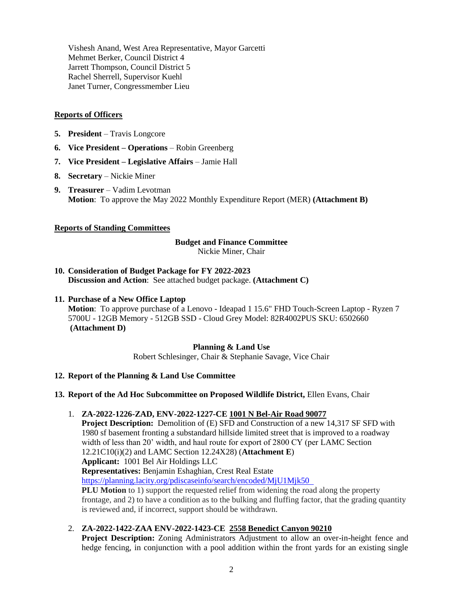Vishesh Anand, West Area Representative, Mayor Garcetti Mehmet Berker, Council District 4 Jarrett Thompson, Council District 5 Rachel Sherrell, Supervisor Kuehl Janet Turner, Congressmember Lieu

### **Reports of Officers**

- **5. President**  Travis Longcore
- **6. Vice President – Operations**  Robin Greenberg
- **7. Vice President – Legislative Affairs**  Jamie Hall
- **8. Secretary**  Nickie Miner
- **9. Treasurer**  Vadim Levotman **Motion**: To approve the May 2022 Monthly Expenditure Report (MER) **(Attachment B)**

### **Reports of Standing Committees**

#### **Budget and Finance Committee**

Nickie Miner, Chair

- **10. Consideration of Budget Package for FY 2022-2023 Discussion and Action**: See attached budget package. **(Attachment C)**
- **11. Purchase of a New Office Laptop**

**Motion**: To approve purchase of a Lenovo - Ideapad 1 15.6" FHD Touch-Screen Laptop - Ryzen 7 5700U - 12GB Memory - 512GB SSD - Cloud Grey Model: 82R4002PUS SKU: 6502660 **(Attachment D)**

#### **Planning & Land Use**

Robert Schlesinger, Chair & Stephanie Savage, Vice Chair

#### **12. Report of the Planning & Land Use Committee**

#### **13. Report of the Ad Hoc Subcommittee on Proposed Wildlife District,** Ellen Evans, Chair

1. **ZA-2022-1226-ZAD, ENV-2022-1227-CE 1001 N Bel-Air Road 90077**

**Project Description:** Demolition of (E) SFD and Construction of a new 14,317 SF SFD with 1980 sf basement fronting a substandard hillside limited street that is improved to a roadway width of less than 20' width, and haul route for export of 2800 CY (per LAMC Section 12.21C10(i)(2) and LAMC Section 12.24X28) (**Attachment E**) **Applicant:** 1001 Bel Air Holdings LLC **Representatives:** Benjamin Eshaghian, Crest Real Estate <https://planning.lacity.org/pdiscaseinfo/search/encoded/MjU1Mjk50> **PLU Motion** to 1) support the requested relief from widening the road along the property

frontage, and 2) to have a condition as to the bulking and fluffing factor, that the grading quantity is reviewed and, if incorrect, support should be withdrawn.

2. **ZA-2022-1422-ZAA ENV-2022-1423-CE 2558 Benedict Canyon 90210**

**Project Description:** Zoning Administrators Adjustment to allow an over-in-height fence and hedge fencing, in conjunction with a pool addition within the front yards for an existing single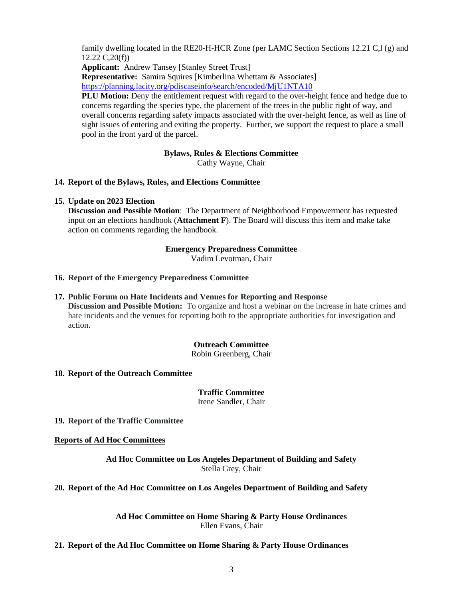family dwelling located in the RE20-H-HCR Zone (per LAMC Section Sections 12.21 C,l (g) and 12.22 C,20(f))

**Applicant:** Andrew Tansey [Stanley Street Trust]

**Representative:** Samira Squires [Kimberlina Whettam & Associates]

<https://planning.lacity.org/pdiscaseinfo/search/encoded/MjU1NTA10>

**PLU Motion:** Deny the entitlement request with regard to the over-height fence and hedge due to concerns regarding the species type, the placement of the trees in the public right of way, and overall concerns regarding safety impacts associated with the over-height fence, as well as line of sight issues of entering and exiting the property. Further, we support the request to place a small pool in the front yard of the parcel.

# **Bylaws, Rules & Elections Committee**

Cathy Wayne, Chair

# **14. Report of the Bylaws, Rules, and Elections Committee**

### **15. Update on 2023 Election**

**Discussion and Possible Motion**: The Department of Neighborhood Empowerment has requested input on an elections handbook (**Attachment F**). The Board will discuss this item and make take action on comments regarding the handbook.

# **Emergency Preparedness Committee**

Vadim Levotman, Chair

# **16. Report of the Emergency Preparedness Committee**

**17. Public Forum on Hate Incidents and Venues for Reporting and Response Discussion and Possible Motion:** To organize and host a webinar on the increase in hate crimes and hate incidents and the venues for reporting both to the appropriate authorities for investigation and action.

# **Outreach Committee**

Robin Greenberg, Chair

# **18. Report of the Outreach Committee**

**Traffic Committee** Irene Sandler, Chair

**19. Report of the Traffic Committee**

**Reports of Ad Hoc Committees**

**Ad Hoc Committee on Los Angeles Department of Building and Safety** Stella Grey, Chair

**20. Report of the Ad Hoc Committee on Los Angeles Department of Building and Safety**

**Ad Hoc Committee on Home Sharing & Party House Ordinances** Ellen Evans, Chair

# **21. Report of the Ad Hoc Committee on Home Sharing & Party House Ordinances**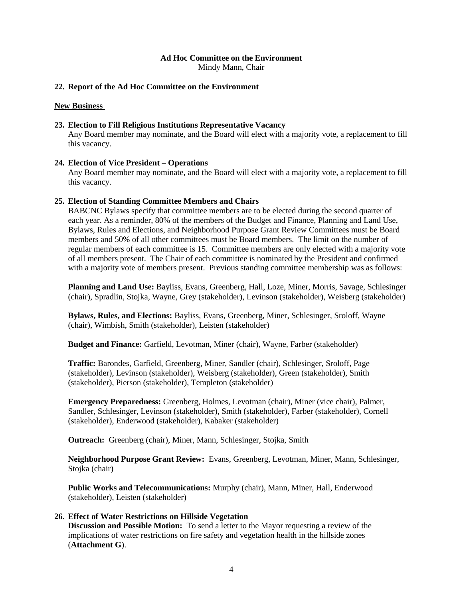### **Ad Hoc Committee on the Environment**

Mindy Mann, Chair

### **22. Report of the Ad Hoc Committee on the Environment**

#### **New Business**

### **23. Election to Fill Religious Institutions Representative Vacancy**

Any Board member may nominate, and the Board will elect with a majority vote, a replacement to fill this vacancy.

### **24. Election of Vice President – Operations**

Any Board member may nominate, and the Board will elect with a majority vote, a replacement to fill this vacancy.

### **25. Election of Standing Committee Members and Chairs**

BABCNC Bylaws specify that committee members are to be elected during the second quarter of each year. As a reminder, 80% of the members of the Budget and Finance, Planning and Land Use, Bylaws, Rules and Elections, and Neighborhood Purpose Grant Review Committees must be Board members and 50% of all other committees must be Board members. The limit on the number of regular members of each committee is 15. Committee members are only elected with a majority vote of all members present. The Chair of each committee is nominated by the President and confirmed with a majority vote of members present. Previous standing committee membership was as follows:

**Planning and Land Use:** Bayliss, Evans, Greenberg, Hall, Loze, Miner, Morris, Savage, Schlesinger (chair), Spradlin, Stojka, Wayne, Grey (stakeholder), Levinson (stakeholder), Weisberg (stakeholder)

**Bylaws, Rules, and Elections:** Bayliss, Evans, Greenberg, Miner, Schlesinger, Sroloff, Wayne (chair), Wimbish, Smith (stakeholder), Leisten (stakeholder)

**Budget and Finance:** Garfield, Levotman, Miner (chair), Wayne, Farber (stakeholder)

**Traffic:** Barondes, Garfield, Greenberg, Miner, Sandler (chair), Schlesinger, Sroloff, Page (stakeholder), Levinson (stakeholder), Weisberg (stakeholder), Green (stakeholder), Smith (stakeholder), Pierson (stakeholder), Templeton (stakeholder)

**Emergency Preparedness:** Greenberg, Holmes, Levotman (chair), Miner (vice chair), Palmer, Sandler, Schlesinger, Levinson (stakeholder), Smith (stakeholder), Farber (stakeholder), Cornell (stakeholder), Enderwood (stakeholder), Kabaker (stakeholder)

**Outreach:** Greenberg (chair), Miner, Mann, Schlesinger, Stojka, Smith

**Neighborhood Purpose Grant Review:** Evans, Greenberg, Levotman, Miner, Mann, Schlesinger, Stojka (chair)

**Public Works and Telecommunications:** Murphy (chair), Mann, Miner, Hall, Enderwood (stakeholder), Leisten (stakeholder)

### **26. Effect of Water Restrictions on Hillside Vegetation**

**Discussion and Possible Motion:** To send a letter to the Mayor requesting a review of the implications of water restrictions on fire safety and vegetation health in the hillside zones (**Attachment G**).